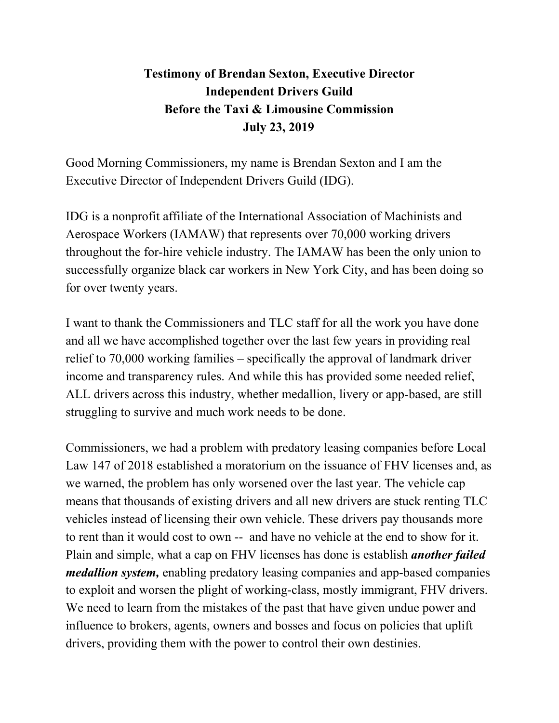## **Testimony of Brendan Sexton, Executive Director Independent Drivers Guild Before the Taxi & Limousine Commission July 23, 2019**

Good Morning Commissioners, my name is Brendan Sexton and I am the Executive Director of Independent Drivers Guild (IDG).

IDG is a nonprofit affiliate of the International Association of Machinists and Aerospace Workers (IAMAW) that represents over 70,000 working drivers throughout the for-hire vehicle industry. The IAMAW has been the only union to successfully organize black car workers in New York City, and has been doing so for over twenty years.

I want to thank the Commissioners and TLC staff for all the work you have done and all we have accomplished together over the last few years in providing real relief to 70,000 working families – specifically the approval of landmark driver income and transparency rules. And while this has provided some needed relief, ALL drivers across this industry, whether medallion, livery or app-based, are still struggling to survive and much work needs to be done.

Commissioners, we had a problem with predatory leasing companies before Local Law 147 of 2018 established a moratorium on the issuance of FHV licenses and, as we warned, the problem has only worsened over the last year. The vehicle cap means that thousands of existing drivers and all new drivers are stuck renting TLC vehicles instead of licensing their own vehicle. These drivers pay thousands more to rent than it would cost to own -- and have no vehicle at the end to show for it. Plain and simple, what a cap on FHV licenses has done is establish *another failed medallion system,* enabling predatory leasing companies and app-based companies to exploit and worsen the plight of working-class, mostly immigrant, FHV drivers. We need to learn from the mistakes of the past that have given undue power and influence to brokers, agents, owners and bosses and focus on policies that uplift drivers, providing them with the power to control their own destinies.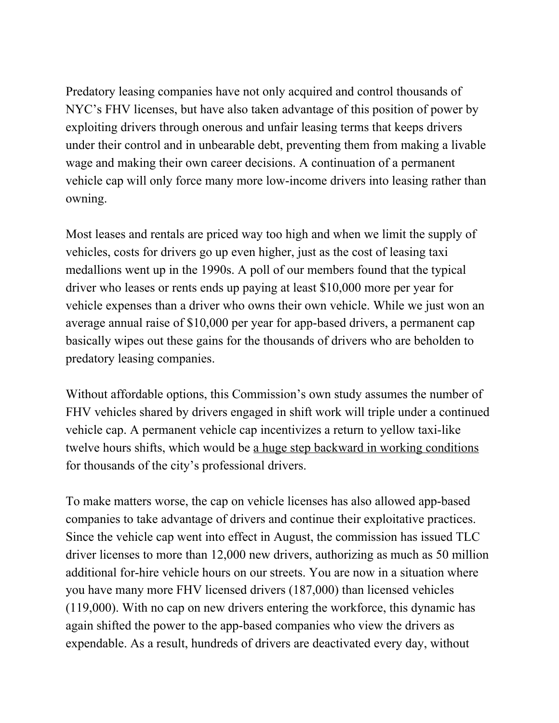Predatory leasing companies have not only acquired and control thousands of NYC's FHV licenses, but have also taken advantage of this position of power by exploiting drivers through onerous and unfair leasing terms that keeps drivers under their control and in unbearable debt, preventing them from making a livable wage and making their own career decisions. A continuation of a permanent vehicle cap will only force many more low-income drivers into leasing rather than owning.

Most leases and rentals are priced way too high and when we limit the supply of vehicles, costs for drivers go up even higher, just as the cost of leasing taxi medallions went up in the 1990s. A poll of our members found that the typical driver who leases or rents ends up paying at least \$10,000 more per year for vehicle expenses than a driver who owns their own vehicle. While we just won an average annual raise of \$10,000 per year for app-based drivers, a permanent cap basically wipes out these gains for the thousands of drivers who are beholden to predatory leasing companies.

Without affordable options, this Commission's own study assumes the number of FHV vehicles shared by drivers engaged in shift work will triple under a continued vehicle cap. A permanent vehicle cap incentivizes a return to yellow taxi-like twelve hours shifts, which would be a huge step backward in working conditions for thousands of the city's professional drivers.

To make matters worse, the cap on vehicle licenses has also allowed app-based companies to take advantage of drivers and continue their exploitative practices. Since the vehicle cap went into effect in August, the commission has issued TLC driver licenses to more than 12,000 new drivers, authorizing as much as 50 million additional for-hire vehicle hours on our streets. You are now in a situation where you have many more FHV licensed drivers (187,000) than licensed vehicles (119,000). With no cap on new drivers entering the workforce, this dynamic has again shifted the power to the app-based companies who view the drivers as expendable. As a result, hundreds of drivers are deactivated every day, without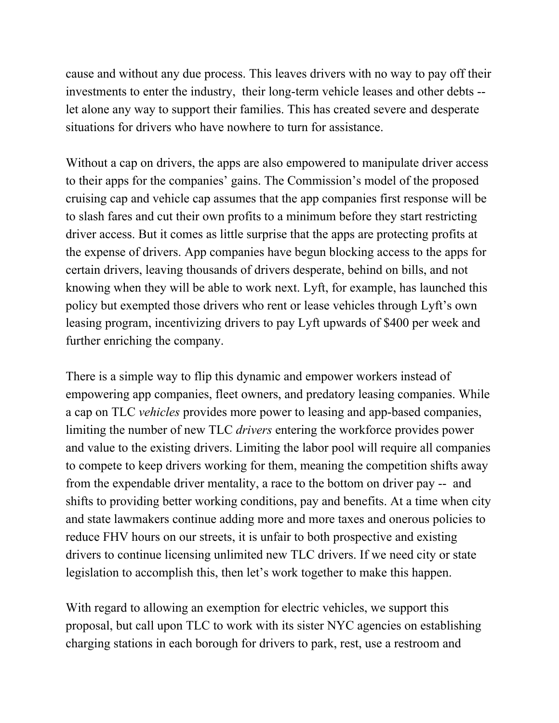cause and without any due process. This leaves drivers with no way to pay off their investments to enter the industry, their long-term vehicle leases and other debts - let alone any way to support their families. This has created severe and desperate situations for drivers who have nowhere to turn for assistance.

Without a cap on drivers, the apps are also empowered to manipulate driver access to their apps for the companies' gains. The Commission's model of the proposed cruising cap and vehicle cap assumes that the app companies first response will be to slash fares and cut their own profits to a minimum before they start restricting driver access. But it comes as little surprise that the apps are protecting profits at the expense of drivers. App companies have begun blocking access to the apps for certain drivers, leaving thousands of drivers desperate, behind on bills, and not knowing when they will be able to work next. Lyft, for example, has launched this policy but exempted those drivers who rent or lease vehicles through Lyft's own leasing program, incentivizing drivers to pay Lyft upwards of \$400 per week and further enriching the company.

There is a simple way to flip this dynamic and empower workers instead of empowering app companies, fleet owners, and predatory leasing companies. While a cap on TLC *vehicles* provides more power to leasing and app-based companies, limiting the number of new TLC *drivers* entering the workforce provides power and value to the existing drivers. Limiting the labor pool will require all companies to compete to keep drivers working for them, meaning the competition shifts away from the expendable driver mentality, a race to the bottom on driver pay -- and shifts to providing better working conditions, pay and benefits. At a time when city and state lawmakers continue adding more and more taxes and onerous policies to reduce FHV hours on our streets, it is unfair to both prospective and existing drivers to continue licensing unlimited new TLC drivers. If we need city or state legislation to accomplish this, then let's work together to make this happen.

With regard to allowing an exemption for electric vehicles, we support this proposal, but call upon TLC to work with its sister NYC agencies on establishing charging stations in each borough for drivers to park, rest, use a restroom and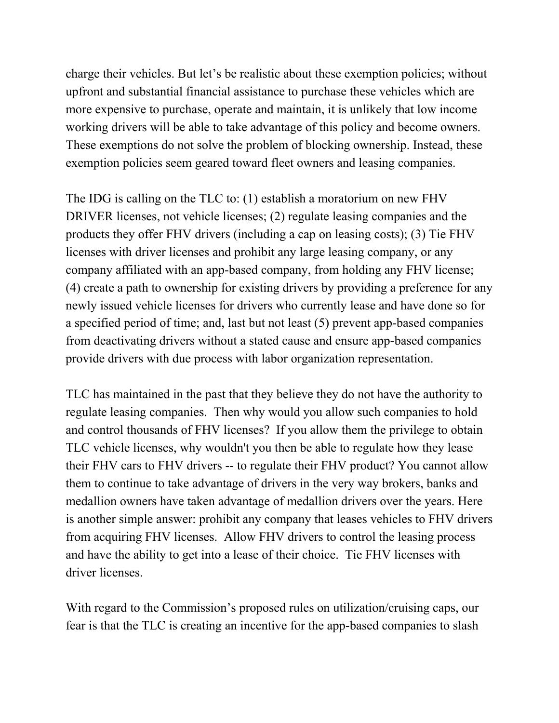charge their vehicles. But let's be realistic about these exemption policies; without upfront and substantial financial assistance to purchase these vehicles which are more expensive to purchase, operate and maintain, it is unlikely that low income working drivers will be able to take advantage of this policy and become owners. These exemptions do not solve the problem of blocking ownership. Instead, these exemption policies seem geared toward fleet owners and leasing companies.

The IDG is calling on the TLC to: (1) establish a moratorium on new FHV DRIVER licenses, not vehicle licenses; (2) regulate leasing companies and the products they offer FHV drivers (including a cap on leasing costs); (3) Tie FHV licenses with driver licenses and prohibit any large leasing company, or any company affiliated with an app-based company, from holding any FHV license; (4) create a path to ownership for existing drivers by providing a preference for any newly issued vehicle licenses for drivers who currently lease and have done so for a specified period of time; and, last but not least (5) prevent app-based companies from deactivating drivers without a stated cause and ensure app-based companies provide drivers with due process with labor organization representation.

TLC has maintained in the past that they believe they do not have the authority to regulate leasing companies. Then why would you allow such companies to hold and control thousands of FHV licenses? If you allow them the privilege to obtain TLC vehicle licenses, why wouldn't you then be able to regulate how they lease their FHV cars to FHV drivers -- to regulate their FHV product? You cannot allow them to continue to take advantage of drivers in the very way brokers, banks and medallion owners have taken advantage of medallion drivers over the years. Here is another simple answer: prohibit any company that leases vehicles to FHV drivers from acquiring FHV licenses. Allow FHV drivers to control the leasing process and have the ability to get into a lease of their choice. Tie FHV licenses with driver licenses.

With regard to the Commission's proposed rules on utilization/cruising caps, our fear is that the TLC is creating an incentive for the app-based companies to slash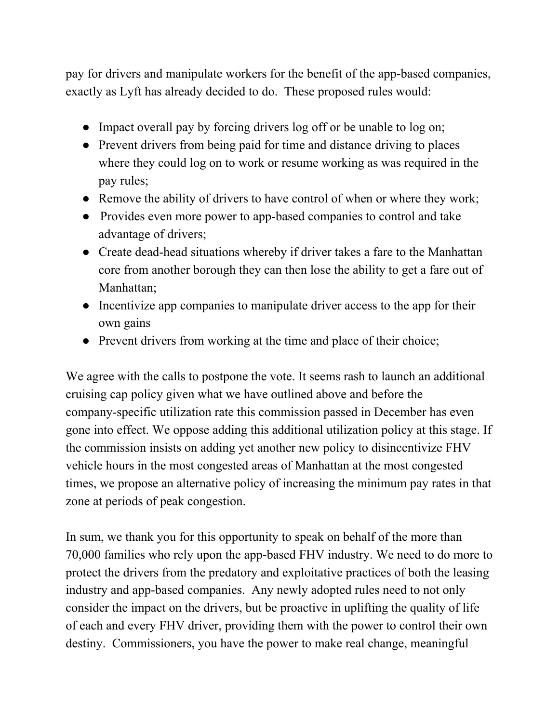pay for drivers and manipulate workers for the benefit of the app-based companies, exactly as Lyft has already decided to do. These proposed rules would:

- Impact overall pay by forcing drivers log off or be unable to log on;
- Prevent drivers from being paid for time and distance driving to places where they could log on to work or resume working as was required in the pay rules;
- Remove the ability of drivers to have control of when or where they work;
- Provides even more power to app-based companies to control and take advantage of drivers;
- Create dead-head situations whereby if driver takes a fare to the Manhattan core from another borough they can then lose the ability to get a fare out of Manhattan;
- Incentivize app companies to manipulate driver access to the app for their own gains
- Prevent drivers from working at the time and place of their choice;

We agree with the calls to postpone the vote. It seems rash to launch an additional cruising cap policy given what we have outlined above and before the company-specific utilization rate this commission passed in December has even gone into effect. We oppose adding this additional utilization policy at this stage. If the commission insists on adding yet another new policy to disincentivize FHV vehicle hours in the most congested areas of Manhattan at the most congested times, we propose an alternative policy of increasing the minimum pay rates in that zone at periods of peak congestion.

In sum, we thank you for this opportunity to speak on behalf of the more than 70,000 families who rely upon the app-based FHV industry. We need to do more to protect the drivers from the predatory and exploitative practices of both the leasing industry and app-based companies. Any newly adopted rules need to not only consider the impact on the drivers, but be proactive in uplifting the quality of life of each and every FHV driver, providing them with the power to control their own destiny. Commissioners, you have the power to make real change, meaningful